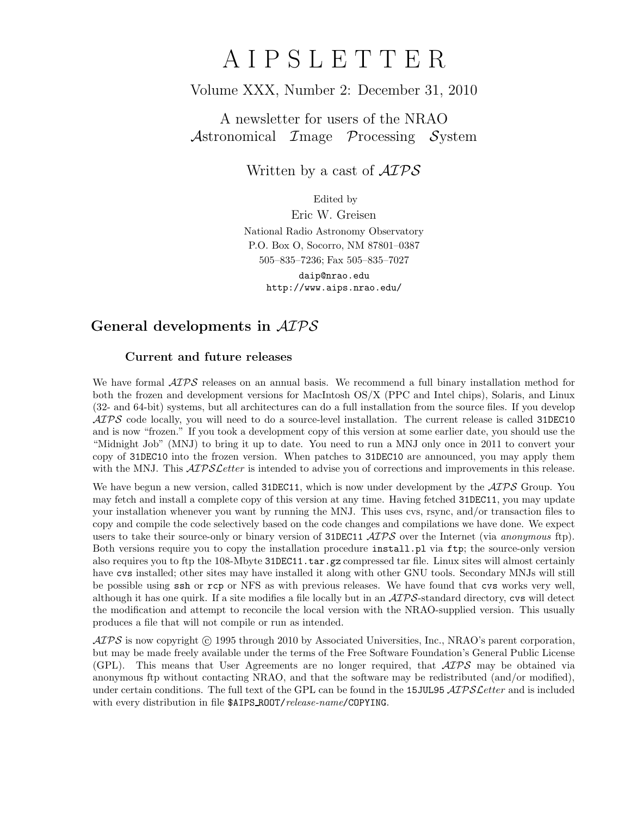# A I P S L E T T E R

## Volume XXX, Number 2: December 31, 2010

A newsletter for users of the NRAO Astronomical  $\mathcal{I}$ mage  $\mathcal{P}$ rocessing  $\mathcal{S}$ ystem

Written by a cast of  $\mathcal{AIPS}$ 

Edited by

Eric W. Greisen National Radio Astronomy Observatory P.O. Box O, Socorro, NM 87801–0387 505–835–7236; Fax 505–835–7027

daip@nrao.edu http://www.aips.nrao.edu/

# General developments in AIPS

### Current and future releases

We have formal  $\mathcal{AIPS}$  releases on an annual basis. We recommend a full binary installation method for both the frozen and development versions for MacIntosh OS/X (PPC and Intel chips), Solaris, and Linux (32- and 64-bit) systems, but all architectures can do a full installation from the source files. If you develop  $ATPS$  code locally, you will need to do a source-level installation. The current release is called 31DEC10 and is now "frozen." If you took a development copy of this version at some earlier date, you should use the "Midnight Job" (MNJ) to bring it up to date. You need to run a MNJ only once in 2011 to convert your copy of 31DEC10 into the frozen version. When patches to 31DEC10 are announced, you may apply them with the MNJ. This  $\mathcal{ATPS}$  Letter is intended to advise you of corrections and improvements in this release.

We have begun a new version, called 31DEC11, which is now under development by the  $\mathcal{AIPS}$  Group. You may fetch and install a complete copy of this version at any time. Having fetched 31DEC11, you may update your installation whenever you want by running the MNJ. This uses cvs, rsync, and/or transaction files to copy and compile the code selectively based on the code changes and compilations we have done. We expect users to take their source-only or binary version of 31DEC11  $\widehat{ATPS}$  over the Internet (via anonymous ftp). Both versions require you to copy the installation procedure install.pl via ftp; the source-only version also requires you to ftp the 108-Mbyte 31DEC11.tar.gz compressed tar file. Linux sites will almost certainly have cvs installed; other sites may have installed it along with other GNU tools. Secondary MNJs will still be possible using ssh or rcp or NFS as with previous releases. We have found that cvs works very well, although it has one quirk. If a site modifies a file locally but in an  $\mathcal{AIPS}$ -standard directory, cvs will detect the modification and attempt to reconcile the local version with the NRAO-supplied version. This usually produces a file that will not compile or run as intended.

 $\mathcal{AIPS}$  is now copyright (c) 1995 through 2010 by Associated Universities, Inc., NRAO's parent corporation, but may be made freely available under the terms of the Free Software Foundation's General Public License (GPL). This means that User Agreements are no longer required, that  $\mathcal{AIPS}$  may be obtained via anonymous ftp without contacting NRAO, and that the software may be redistributed (and/or modified), under certain conditions. The full text of the GPL can be found in the 15JUL95  $\mathcal{AIPS}$  cetter and is included with every distribution in file \$AIPS\_ROOT/release-name/COPYING.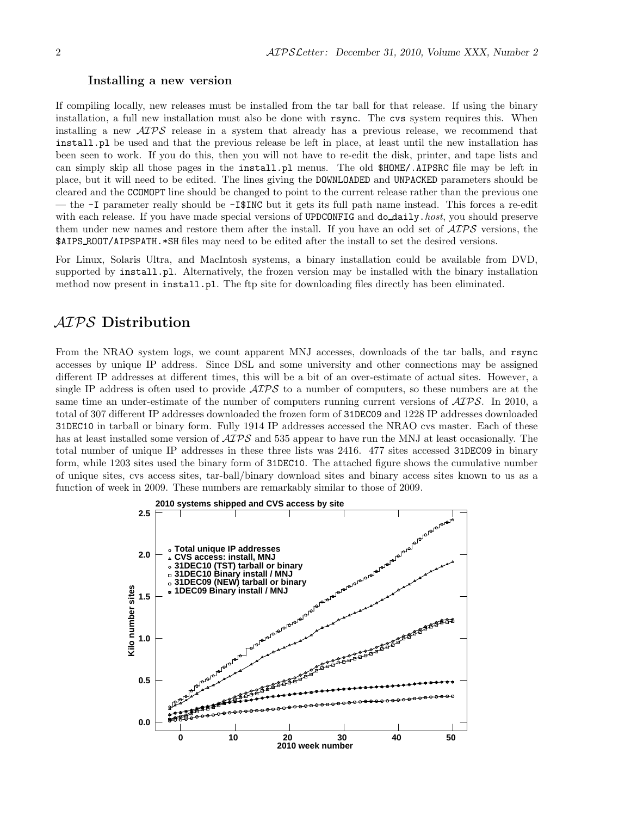#### Installing a new version

If compiling locally, new releases must be installed from the tar ball for that release. If using the binary installation, a full new installation must also be done with rsync. The cvs system requires this. When installing a new  $\langle \angle ATPS \rangle$  release in a system that already has a previous release, we recommend that install.pl be used and that the previous release be left in place, at least until the new installation has been seen to work. If you do this, then you will not have to re-edit the disk, printer, and tape lists and can simply skip all those pages in the install.pl menus. The old \$HOME/.AIPSRC file may be left in place, but it will need to be edited. The lines giving the DOWNLOADED and UNPACKED parameters should be cleared and the CCOMOPT line should be changed to point to the current release rather than the previous one — the -I parameter really should be -I\$INC but it gets its full path name instead. This forces a re-edit with each release. If you have made special versions of UPDCONFIG and do\_daily.host, you should preserve them under new names and restore them after the install. If you have an odd set of AIPS versions, the \$AIPS ROOT/AIPSPATH.\*SH files may need to be edited after the install to set the desired versions.

For Linux, Solaris Ultra, and MacIntosh systems, a binary installation could be available from DVD, supported by install.pl. Alternatively, the frozen version may be installed with the binary installation method now present in install.pl. The ftp site for downloading files directly has been eliminated.

## AIPS Distribution

From the NRAO system logs, we count apparent MNJ accesses, downloads of the tar balls, and rsync accesses by unique IP address. Since DSL and some university and other connections may be assigned different IP addresses at different times, this will be a bit of an over-estimate of actual sites. However, a single IP address is often used to provide  $\mathcal{AIPS}$  to a number of computers, so these numbers are at the same time an under-estimate of the number of computers running current versions of  $\mathcal{AIPS}$ . In 2010, a total of 307 different IP addresses downloaded the frozen form of 31DEC09 and 1228 IP addresses downloaded 31DEC10 in tarball or binary form. Fully 1914 IP addresses accessed the NRAO cvs master. Each of these has at least installed some version of  $\mathcal{AIPS}$  and 535 appear to have run the MNJ at least occasionally. The total number of unique IP addresses in these three lists was 2416. 477 sites accessed 31DEC09 in binary form, while 1203 sites used the binary form of 31DEC10. The attached figure shows the cumulative number of unique sites, cvs access sites, tar-ball/binary download sites and binary access sites known to us as a function of week in 2009. These numbers are remarkably similar to those of 2009.

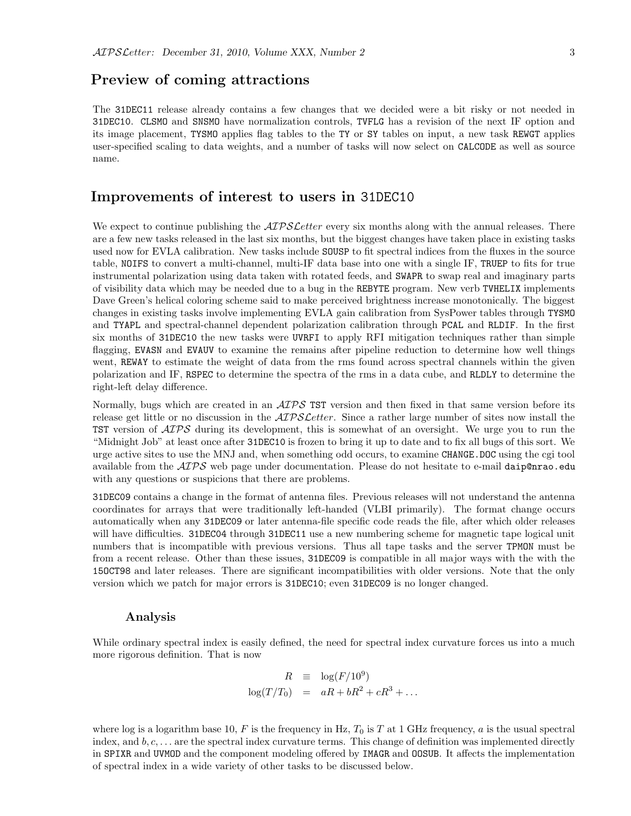## Preview of coming attractions

The 31DEC11 release already contains a few changes that we decided were a bit risky or not needed in 31DEC10. CLSMO and SNSMO have normalization controls, TVFLG has a revision of the next IF option and its image placement, TYSMO applies flag tables to the TY or SY tables on input, a new task REWGT applies user-specified scaling to data weights, and a number of tasks will now select on CALCODE as well as source name.

## Improvements of interest to users in 31DEC10

We expect to continue publishing the  $ATPSLetter$  every six months along with the annual releases. There are a few new tasks released in the last six months, but the biggest changes have taken place in existing tasks used now for EVLA calibration. New tasks include SOUSP to fit spectral indices from the fluxes in the source table, NOIFS to convert a multi-channel, multi-IF data base into one with a single IF, TRUEP to fits for true instrumental polarization using data taken with rotated feeds, and SWAPR to swap real and imaginary parts of visibility data which may be needed due to a bug in the REBYTE program. New verb TVHELIX implements Dave Green's helical coloring scheme said to make perceived brightness increase monotonically. The biggest changes in existing tasks involve implementing EVLA gain calibration from SysPower tables through TYSMO and TYAPL and spectral-channel dependent polarization calibration through PCAL and RLDIF. In the first six months of 31DEC10 the new tasks were UVRFI to apply RFI mitigation techniques rather than simple flagging, EVASN and EVAUV to examine the remains after pipeline reduction to determine how well things went, REWAY to estimate the weight of data from the rms found across spectral channels within the given polarization and IF, RSPEC to determine the spectra of the rms in a data cube, and RLDLY to determine the right-left delay difference.

Normally, bugs which are created in an  $\mathcal{AIPS}$  TST version and then fixed in that same version before its release get little or no discussion in the  $\mathcal{AIPSLetter}$ . Since a rather large number of sites now install the TST version of  $\mathcal{A}TP\mathcal{S}$  during its development, this is somewhat of an oversight. We urge you to run the "Midnight Job" at least once after 31DEC10 is frozen to bring it up to date and to fix all bugs of this sort. We urge active sites to use the MNJ and, when something odd occurs, to examine CHANGE.DOC using the cgi tool available from the  $AIPS$  web page under documentation. Please do not hesitate to e-mail daip@nrao.edu with any questions or suspicions that there are problems.

31DEC09 contains a change in the format of antenna files. Previous releases will not understand the antenna coordinates for arrays that were traditionally left-handed (VLBI primarily). The format change occurs automatically when any 31DEC09 or later antenna-file specific code reads the file, after which older releases will have difficulties. 31DEC04 through 31DEC11 use a new numbering scheme for magnetic tape logical unit numbers that is incompatible with previous versions. Thus all tape tasks and the server TPMON must be from a recent release. Other than these issues, 31DEC09 is compatible in all major ways with the with the 15OCT98 and later releases. There are significant incompatibilities with older versions. Note that the only version which we patch for major errors is 31DEC10; even 31DEC09 is no longer changed.

#### Analysis

While ordinary spectral index is easily defined, the need for spectral index curvature forces us into a much more rigorous definition. That is now

$$
R \equiv \log(F/10^9)
$$
  

$$
\log(T/T_0) = aR + bR^2 + cR^3 + \dots
$$

where log is a logarithm base 10, F is the frequency in Hz,  $T_0$  is T at 1 GHz frequency, a is the usual spectral index, and  $b, c, \ldots$  are the spectral index curvature terms. This change of definition was implemented directly in SPIXR and UVMOD and the component modeling offered by IMAGR and OOSUB. It affects the implementation of spectral index in a wide variety of other tasks to be discussed below.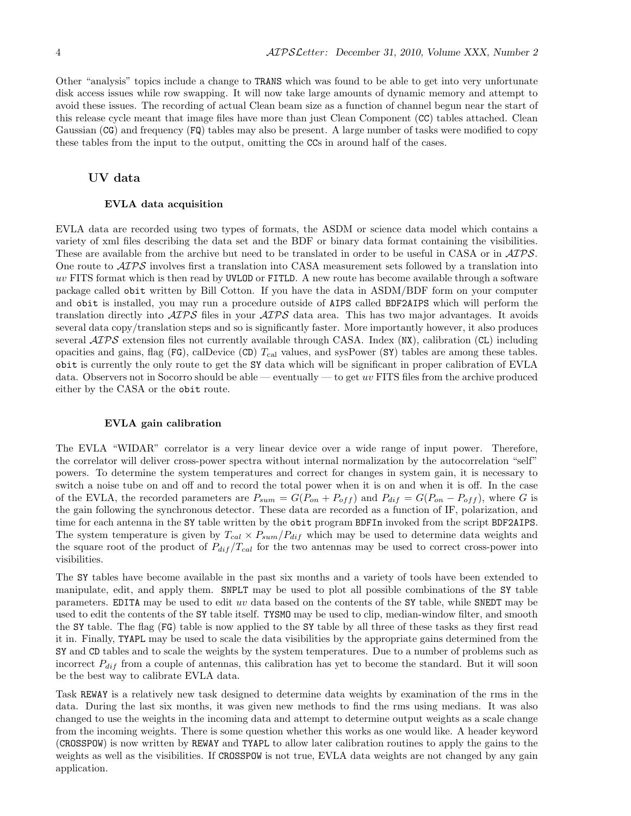Other "analysis" topics include a change to TRANS which was found to be able to get into very unfortunate disk access issues while row swapping. It will now take large amounts of dynamic memory and attempt to avoid these issues. The recording of actual Clean beam size as a function of channel begun near the start of this release cycle meant that image files have more than just Clean Component (CC) tables attached. Clean Gaussian (CG) and frequency (FQ) tables may also be present. A large number of tasks were modified to copy these tables from the input to the output, omitting the CCs in around half of the cases.

#### UV data

#### EVLA data acquisition

EVLA data are recorded using two types of formats, the ASDM or science data model which contains a variety of xml files describing the data set and the BDF or binary data format containing the visibilities. These are available from the archive but need to be translated in order to be useful in CASA or in  $\mathcal{AIPS}$ . One route to  $\mathcal{A} \mathcal{I} \mathcal{P} \mathcal{S}$  involves first a translation into CASA measurement sets followed by a translation into uv FITS format which is then read by UVLOD or FITLD. A new route has become available through a software package called obit written by Bill Cotton. If you have the data in ASDM/BDF form on your computer and obit is installed, you may run a procedure outside of AIPS called BDF2AIPS which will perform the translation directly into  $\mathcal{A} \mathcal{I} \mathcal{P} \mathcal{S}$  files in your  $\mathcal{A} \mathcal{I} \mathcal{P} \mathcal{S}$  data area. This has two major advantages. It avoids several data copy/translation steps and so is significantly faster. More importantly however, it also produces several  $\mathcal{A} \mathcal{I} \mathcal{P} \mathcal{S}$  extension files not currently available through CASA. Index (NX), calibration (CL) including opacities and gains, flag (FG), calDevice (CD)  $T_{\text{cal}}$  values, and sysPower (SY) tables are among these tables. obit is currently the only route to get the SY data which will be significant in proper calibration of EVLA data. Observers not in Socorro should be able — eventually — to get uv FITS files from the archive produced either by the CASA or the obit route.

#### EVLA gain calibration

The EVLA "WIDAR" correlator is a very linear device over a wide range of input power. Therefore, the correlator will deliver cross-power spectra without internal normalization by the autocorrelation "self" powers. To determine the system temperatures and correct for changes in system gain, it is necessary to switch a noise tube on and off and to record the total power when it is on and when it is off. In the case of the EVLA, the recorded parameters are  $P_{sum} = G(P_{on} + P_{off})$  and  $P_{dif} = G(P_{on} - P_{off})$ , where G is the gain following the synchronous detector. These data are recorded as a function of IF, polarization, and time for each antenna in the SY table written by the obit program BDFIn invoked from the script BDF2AIPS. The system temperature is given by  $T_{cal} \times P_{sum}/P_{dif}$  which may be used to determine data weights and the square root of the product of  $P_{dif}/T_{cal}$  for the two antennas may be used to correct cross-power into visibilities.

The SY tables have become available in the past six months and a variety of tools have been extended to manipulate, edit, and apply them. SNPLT may be used to plot all possible combinations of the SY table parameters. EDITA may be used to edit uv data based on the contents of the SY table, while SNEDT may be used to edit the contents of the SY table itself. TYSMO may be used to clip, median-window filter, and smooth the SY table. The flag (FG) table is now applied to the SY table by all three of these tasks as they first read it in. Finally, TYAPL may be used to scale the data visibilities by the appropriate gains determined from the SY and CD tables and to scale the weights by the system temperatures. Due to a number of problems such as incorrect  $P_{dif}$  from a couple of antennas, this calibration has yet to become the standard. But it will soon be the best way to calibrate EVLA data.

Task REWAY is a relatively new task designed to determine data weights by examination of the rms in the data. During the last six months, it was given new methods to find the rms using medians. It was also changed to use the weights in the incoming data and attempt to determine output weights as a scale change from the incoming weights. There is some question whether this works as one would like. A header keyword (CROSSPOW) is now written by REWAY and TYAPL to allow later calibration routines to apply the gains to the weights as well as the visibilities. If CROSSPOW is not true, EVLA data weights are not changed by any gain application.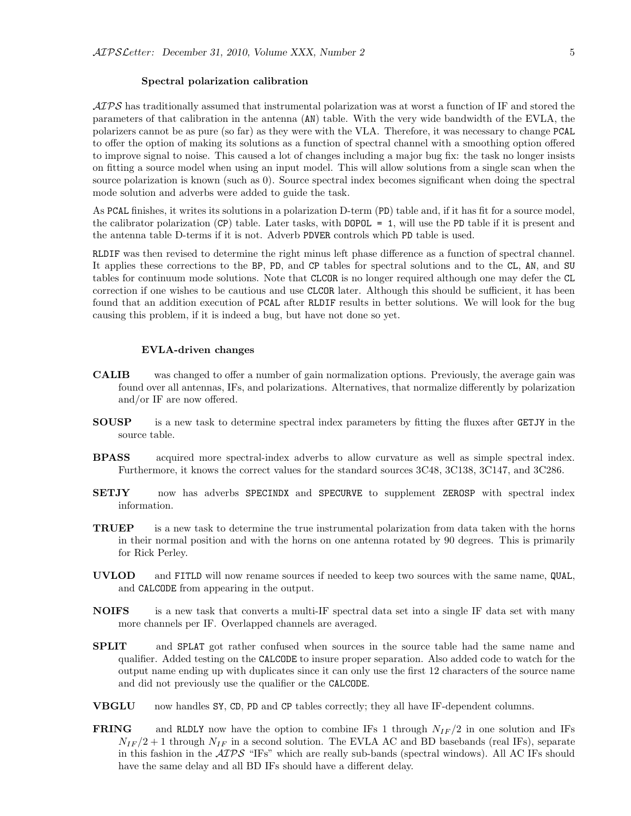#### Spectral polarization calibration

 $ATPS$  has traditionally assumed that instrumental polarization was at worst a function of IF and stored the parameters of that calibration in the antenna (AN) table. With the very wide bandwidth of the EVLA, the polarizers cannot be as pure (so far) as they were with the VLA. Therefore, it was necessary to change PCAL to offer the option of making its solutions as a function of spectral channel with a smoothing option offered to improve signal to noise. This caused a lot of changes including a major bug fix: the task no longer insists on fitting a source model when using an input model. This will allow solutions from a single scan when the source polarization is known (such as 0). Source spectral index becomes significant when doing the spectral mode solution and adverbs were added to guide the task.

As PCAL finishes, it writes its solutions in a polarization D-term (PD) table and, if it has fit for a source model, the calibrator polarization  $(CP)$  table. Later tasks, with DOPOL = 1, will use the PD table if it is present and the antenna table D-terms if it is not. Adverb PDVER controls which PD table is used.

RLDIF was then revised to determine the right minus left phase difference as a function of spectral channel. It applies these corrections to the BP, PD, and CP tables for spectral solutions and to the CL, AN, and SU tables for continuum mode solutions. Note that CLCOR is no longer required although one may defer the CL correction if one wishes to be cautious and use CLCOR later. Although this should be sufficient, it has been found that an addition execution of PCAL after RLDIF results in better solutions. We will look for the bug causing this problem, if it is indeed a bug, but have not done so yet.

#### EVLA-driven changes

- CALIB was changed to offer a number of gain normalization options. Previously, the average gain was found over all antennas, IFs, and polarizations. Alternatives, that normalize differently by polarization and/or IF are now offered.
- SOUSP is a new task to determine spectral index parameters by fitting the fluxes after GETJY in the source table.
- BPASS acquired more spectral-index adverbs to allow curvature as well as simple spectral index. Furthermore, it knows the correct values for the standard sources 3C48, 3C138, 3C147, and 3C286.
- SETJY now has adverbs SPECINDX and SPECURVE to supplement ZEROSP with spectral index information.
- TRUEP is a new task to determine the true instrumental polarization from data taken with the horns in their normal position and with the horns on one antenna rotated by 90 degrees. This is primarily for Rick Perley.
- UVLOD and FITLD will now rename sources if needed to keep two sources with the same name, QUAL, and CALCODE from appearing in the output.
- **NOIFS** is a new task that converts a multi-IF spectral data set into a single IF data set with many more channels per IF. Overlapped channels are averaged.
- SPLIT and SPLAT got rather confused when sources in the source table had the same name and qualifier. Added testing on the CALCODE to insure proper separation. Also added code to watch for the output name ending up with duplicates since it can only use the first 12 characters of the source name and did not previously use the qualifier or the CALCODE.
- VBGLU now handles SY, CD, PD and CP tables correctly; they all have IF-dependent columns.
- **FRING** and RLDLY now have the option to combine IFs 1 through  $N_{IF}/2$  in one solution and IFs  $N_{IF}/2 + 1$  through  $N_{IF}$  in a second solution. The EVLA AC and BD basebands (real IFs), separate in this fashion in the  $\mathcal{AIPS}$  "IFs" which are really sub-bands (spectral windows). All AC IFs should have the same delay and all BD IFs should have a different delay.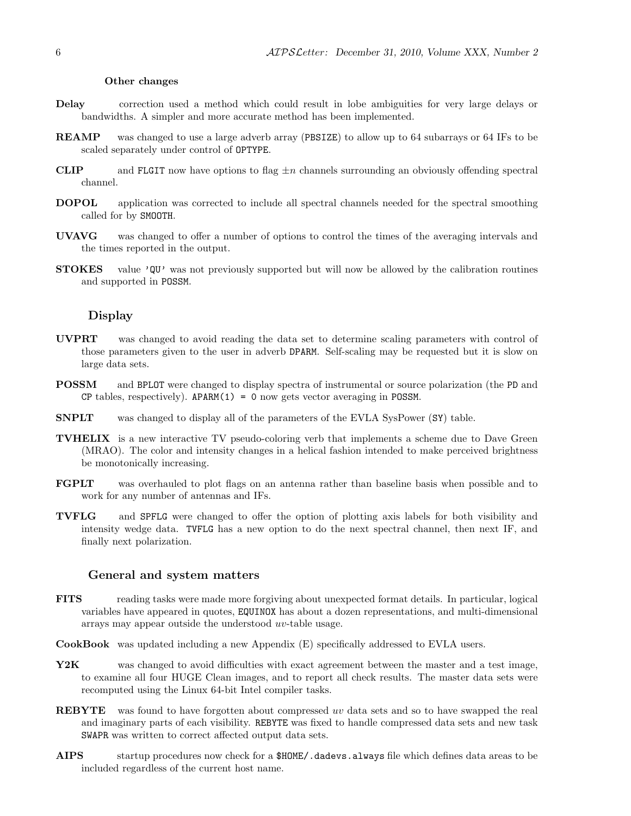#### Other changes

- Delay correction used a method which could result in lobe ambiguities for very large delays or bandwidths. A simpler and more accurate method has been implemented.
- REAMP was changed to use a large adverb array (PBSIZE) to allow up to 64 subarrays or 64 IFs to be scaled separately under control of OPTYPE.
- **CLIP** and FLGIT now have options to flag  $\pm n$  channels surrounding an obviously offending spectral channel.
- DOPOL application was corrected to include all spectral channels needed for the spectral smoothing called for by SMOOTH.
- UVAVG was changed to offer a number of options to control the times of the averaging intervals and the times reported in the output.
- STOKES value 'QU' was not previously supported but will now be allowed by the calibration routines and supported in POSSM.

#### Display

- UVPRT was changed to avoid reading the data set to determine scaling parameters with control of those parameters given to the user in adverb DPARM. Self-scaling may be requested but it is slow on large data sets.
- POSSM and BPLOT were changed to display spectra of instrumental or source polarization (the PD and CP tables, respectively).  $APARM(1) = 0$  now gets vector averaging in POSSM.
- SNPLT was changed to display all of the parameters of the EVLA SysPower (SY) table.
- TVHELIX is a new interactive TV pseudo-coloring verb that implements a scheme due to Dave Green (MRAO). The color and intensity changes in a helical fashion intended to make perceived brightness be monotonically increasing.
- FGPLT was overhauled to plot flags on an antenna rather than baseline basis when possible and to work for any number of antennas and IFs.
- TVFLG and SPFLG were changed to offer the option of plotting axis labels for both visibility and intensity wedge data. TVFLG has a new option to do the next spectral channel, then next IF, and finally next polarization.

#### General and system matters

- FITS reading tasks were made more forgiving about unexpected format details. In particular, logical variables have appeared in quotes, EQUINOX has about a dozen representations, and multi-dimensional arrays may appear outside the understood uv-table usage.
- CookBook was updated including a new Appendix (E) specifically addressed to EVLA users.
- Y2K was changed to avoid difficulties with exact agreement between the master and a test image, to examine all four HUGE Clean images, and to report all check results. The master data sets were recomputed using the Linux 64-bit Intel compiler tasks.
- REBYTE was found to have forgotten about compressed uv data sets and so to have swapped the real and imaginary parts of each visibility. REBYTE was fixed to handle compressed data sets and new task SWAPR was written to correct affected output data sets.
- AIPS startup procedures now check for a \$HOME/.dadevs.always file which defines data areas to be included regardless of the current host name.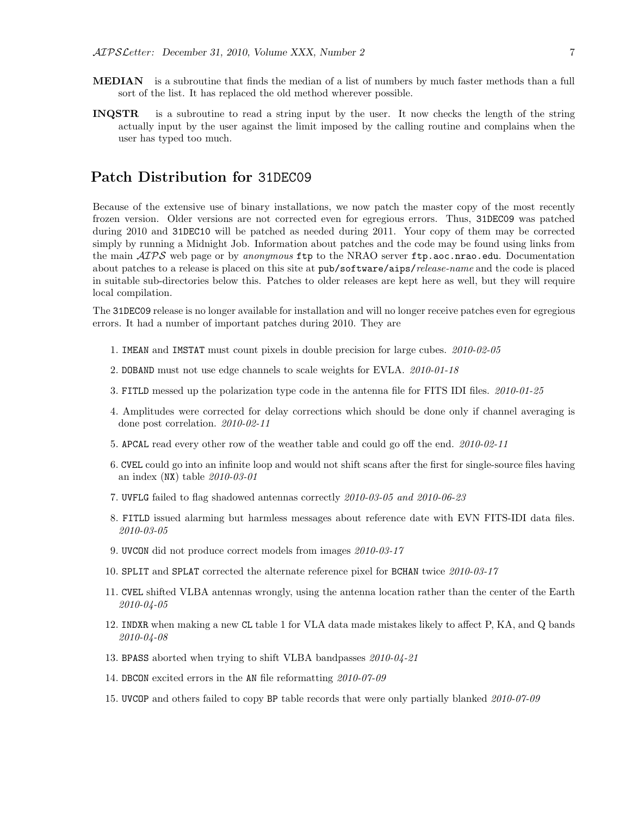- MEDIAN is a subroutine that finds the median of a list of numbers by much faster methods than a full sort of the list. It has replaced the old method wherever possible.
- INQSTR is a subroutine to read a string input by the user. It now checks the length of the string actually input by the user against the limit imposed by the calling routine and complains when the user has typed too much.

# Patch Distribution for 31DEC09

Because of the extensive use of binary installations, we now patch the master copy of the most recently frozen version. Older versions are not corrected even for egregious errors. Thus, 31DEC09 was patched during 2010 and 31DEC10 will be patched as needed during 2011. Your copy of them may be corrected simply by running a Midnight Job. Information about patches and the code may be found using links from the main  $ATPS$  web page or by anonymous ftp to the NRAO server ftp.aoc.nrao.edu. Documentation about patches to a release is placed on this site at pub/software/aips/release-name and the code is placed in suitable sub-directories below this. Patches to older releases are kept here as well, but they will require local compilation.

The 31DEC09 release is no longer available for installation and will no longer receive patches even for egregious errors. It had a number of important patches during 2010. They are

- 1. IMEAN and IMSTAT must count pixels in double precision for large cubes. 2010-02-05
- 2. DOBAND must not use edge channels to scale weights for EVLA. 2010-01-18
- 3. FITLD messed up the polarization type code in the antenna file for FITS IDI files. 2010-01-25
- 4. Amplitudes were corrected for delay corrections which should be done only if channel averaging is done post correlation. 2010-02-11
- 5. APCAL read every other row of the weather table and could go off the end. 2010-02-11
- 6. CVEL could go into an infinite loop and would not shift scans after the first for single-source files having an index  $(NX)$  table  $2010-03-01$
- 7. UVFLG failed to flag shadowed antennas correctly 2010-03-05 and 2010-06-23
- 8. FITLD issued alarming but harmless messages about reference date with EVN FITS-IDI data files. 2010-03-05
- 9. UVCON did not produce correct models from images 2010-03-17
- 10. SPLIT and SPLAT corrected the alternate reference pixel for BCHAN twice 2010-03-17
- 11. CVEL shifted VLBA antennas wrongly, using the antenna location rather than the center of the Earth 2010-04-05
- 12. INDXR when making a new CL table 1 for VLA data made mistakes likely to affect P, KA, and Q bands 2010-04-08
- 13. BPASS aborted when trying to shift VLBA bandpasses 2010-04-21
- 14. DBCON excited errors in the AN file reformatting 2010-07-09
- 15. UVCOP and others failed to copy BP table records that were only partially blanked 2010-07-09